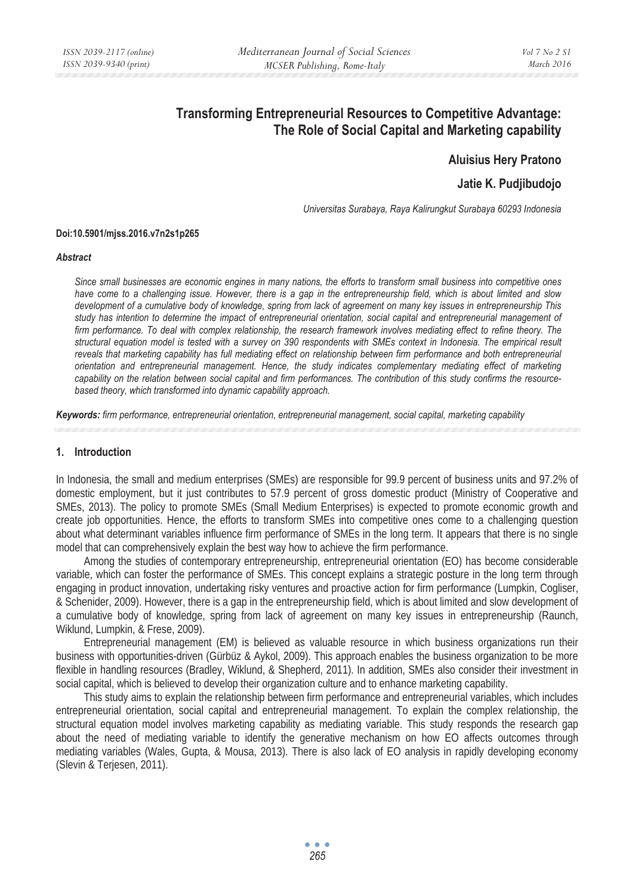# **Transforming Entrepreneurial Resources to Competitive Advantage: The Role of Social Capital and Marketing capability**

**Aluisius Hery Pratono** 

## **Jatie K. Pudjibudojo**

*Universitas Surabaya, Raya Kalirungkut Surabaya 60293 Indonesia* 

#### **Doi:10.5901/mjss.2016.v7n2s1p265**

#### *Abstract*

*Since small businesses are economic engines in many nations, the efforts to transform small business into competitive ones have come to a challenging issue. However, there is a gap in the entrepreneurship field, which is about limited and slow development of a cumulative body of knowledge, spring from lack of agreement on many key issues in entrepreneurship This study has intention to determine the impact of entrepreneurial orientation, social capital and entrepreneurial management of firm performance. To deal with complex relationship, the research framework involves mediating effect to refine theory. The structural equation model is tested with a survey on 390 respondents with SMEs context in Indonesia. The empirical result reveals that marketing capability has full mediating effect on relationship between firm performance and both entrepreneurial orientation and entrepreneurial management. Hence, the study indicates complementary mediating effect of marketing capability on the relation between social capital and firm performances. The contribution of this study confirms the resourcebased theory, which transformed into dynamic capability approach.* 

*Keywords: firm performance, entrepreneurial orientation, entrepreneurial management, social capital, marketing capability*

## **1. Introduction**

In Indonesia, the small and medium enterprises (SMEs) are responsible for 99.9 percent of business units and 97.2% of domestic employment, but it just contributes to 57.9 percent of gross domestic product (Ministry of Cooperative and SMEs, 2013). The policy to promote SMEs (Small Medium Enterprises) is expected to promote economic growth and create job opportunities. Hence, the efforts to transform SMEs into competitive ones come to a challenging question about what determinant variables influence firm performance of SMEs in the long term. It appears that there is no single model that can comprehensively explain the best way how to achieve the firm performance.

Among the studies of contemporary entrepreneurship, entrepreneurial orientation (EO) has become considerable variable, which can foster the performance of SMEs. This concept explains a strategic posture in the long term through engaging in product innovation, undertaking risky ventures and proactive action for firm performance (Lumpkin, Cogliser, & Schenider, 2009). However, there is a gap in the entrepreneurship field, which is about limited and slow development of a cumulative body of knowledge, spring from lack of agreement on many key issues in entrepreneurship (Raunch, Wiklund, Lumpkin, & Frese, 2009).

Entrepreneurial management (EM) is believed as valuable resource in which business organizations run their business with opportunities-driven (Gürbüz & Aykol, 2009). This approach enables the business organization to be more flexible in handling resources (Bradley, Wiklund, & Shepherd, 2011). In addition, SMEs also consider their investment in social capital, which is believed to develop their organization culture and to enhance marketing capability.

This study aims to explain the relationship between firm performance and entrepreneurial variables, which includes entrepreneurial orientation, social capital and entrepreneurial management. To explain the complex relationship, the structural equation model involves marketing capability as mediating variable. This study responds the research gap about the need of mediating variable to identify the generative mechanism on how EO affects outcomes through mediating variables (Wales, Gupta, & Mousa, 2013). There is also lack of EO analysis in rapidly developing economy (Slevin & Terjesen, 2011).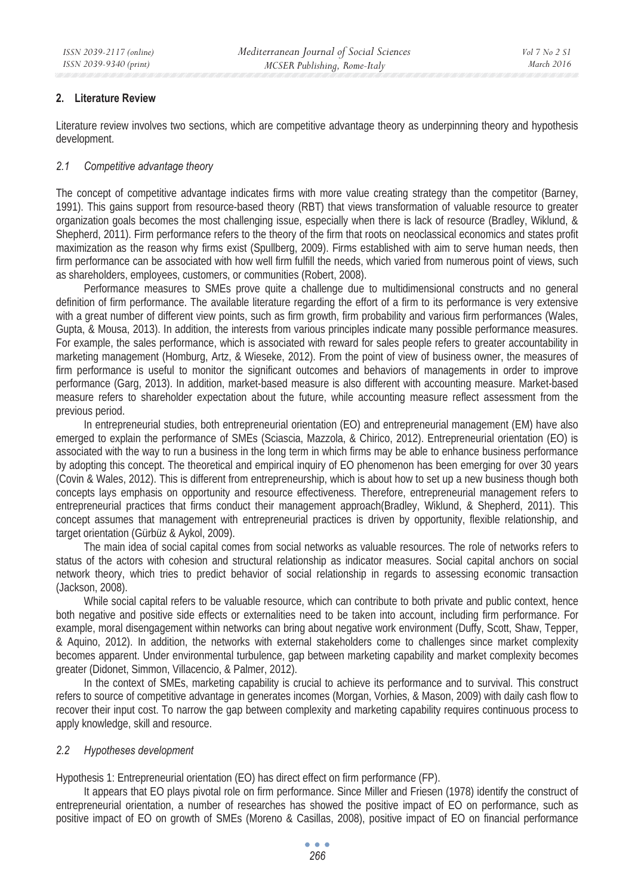## **2. Literature Review**

Literature review involves two sections, which are competitive advantage theory as underpinning theory and hypothesis development.

## *2.1 Competitive advantage theory*

The concept of competitive advantage indicates firms with more value creating strategy than the competitor (Barney, 1991). This gains support from resource-based theory (RBT) that views transformation of valuable resource to greater organization goals becomes the most challenging issue, especially when there is lack of resource (Bradley, Wiklund, & Shepherd, 2011). Firm performance refers to the theory of the firm that roots on neoclassical economics and states profit maximization as the reason why firms exist (Spullberg, 2009). Firms established with aim to serve human needs, then firm performance can be associated with how well firm fulfill the needs, which varied from numerous point of views, such as shareholders, employees, customers, or communities (Robert, 2008).

Performance measures to SMEs prove quite a challenge due to multidimensional constructs and no general definition of firm performance. The available literature regarding the effort of a firm to its performance is very extensive with a great number of different view points, such as firm growth, firm probability and various firm performances (Wales, Gupta, & Mousa, 2013). In addition, the interests from various principles indicate many possible performance measures. For example, the sales performance, which is associated with reward for sales people refers to greater accountability in marketing management (Homburg, Artz, & Wieseke, 2012). From the point of view of business owner, the measures of firm performance is useful to monitor the significant outcomes and behaviors of managements in order to improve performance (Garg, 2013). In addition, market-based measure is also different with accounting measure. Market-based measure refers to shareholder expectation about the future, while accounting measure reflect assessment from the previous period.

In entrepreneurial studies, both entrepreneurial orientation (EO) and entrepreneurial management (EM) have also emerged to explain the performance of SMEs (Sciascia, Mazzola, & Chirico, 2012). Entrepreneurial orientation (EO) is associated with the way to run a business in the long term in which firms may be able to enhance business performance by adopting this concept. The theoretical and empirical inquiry of EO phenomenon has been emerging for over 30 years (Covin & Wales, 2012). This is different from entrepreneurship, which is about how to set up a new business though both concepts lays emphasis on opportunity and resource effectiveness. Therefore, entrepreneurial management refers to entrepreneurial practices that firms conduct their management approach(Bradley, Wiklund, & Shepherd, 2011). This concept assumes that management with entrepreneurial practices is driven by opportunity, flexible relationship, and target orientation (Gürbüz & Aykol, 2009).

The main idea of social capital comes from social networks as valuable resources. The role of networks refers to status of the actors with cohesion and structural relationship as indicator measures. Social capital anchors on social network theory, which tries to predict behavior of social relationship in regards to assessing economic transaction (Jackson, 2008).

While social capital refers to be valuable resource, which can contribute to both private and public context, hence both negative and positive side effects or externalities need to be taken into account, including firm performance. For example, moral disengagement within networks can bring about negative work environment (Duffy, Scott, Shaw, Tepper, & Aquino, 2012). In addition, the networks with external stakeholders come to challenges since market complexity becomes apparent. Under environmental turbulence, gap between marketing capability and market complexity becomes greater (Didonet, Simmon, Villacencio, & Palmer, 2012).

In the context of SMEs, marketing capability is crucial to achieve its performance and to survival. This construct refers to source of competitive advantage in generates incomes (Morgan, Vorhies, & Mason, 2009) with daily cash flow to recover their input cost. To narrow the gap between complexity and marketing capability requires continuous process to apply knowledge, skill and resource.

## *2.2 Hypotheses development*

Hypothesis 1: Entrepreneurial orientation (EO) has direct effect on firm performance (FP).

It appears that EO plays pivotal role on firm performance. Since Miller and Friesen (1978) identify the construct of entrepreneurial orientation, a number of researches has showed the positive impact of EO on performance, such as positive impact of EO on growth of SMEs (Moreno & Casillas, 2008), positive impact of EO on financial performance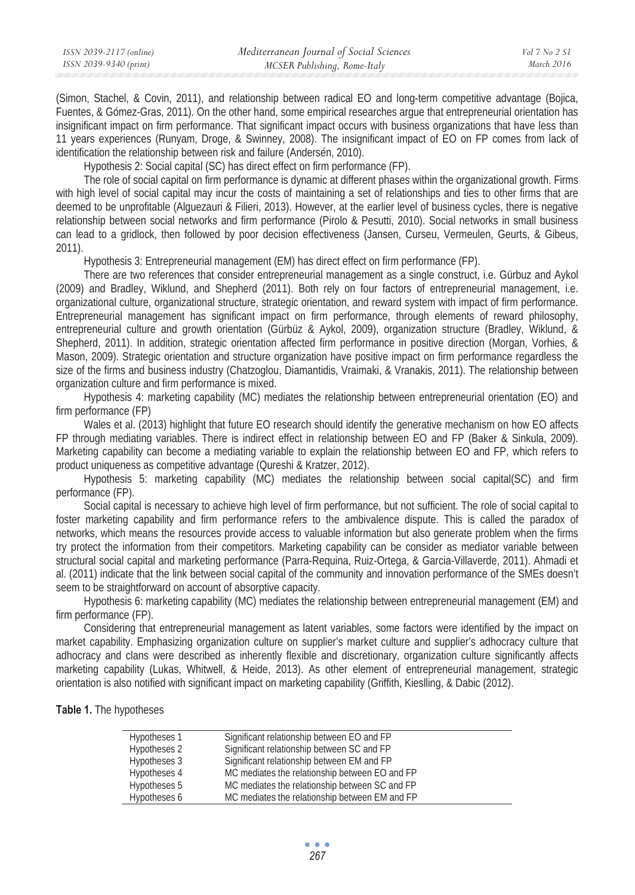(Simon, Stachel, & Covin, 2011), and relationship between radical EO and long-term competitive advantage (Bojica, Fuentes, & Gómez-Gras, 2011). On the other hand, some empirical researches argue that entrepreneurial orientation has insignificant impact on firm performance. That significant impact occurs with business organizations that have less than 11 years experiences (Runyam, Droge, & Swinney, 2008). The insignificant impact of EO on FP comes from lack of identification the relationship between risk and failure (Andersén, 2010).

Hypothesis 2: Social capital (SC) has direct effect on firm performance (FP).

The role of social capital on firm performance is dynamic at different phases within the organizational growth. Firms with high level of social capital may incur the costs of maintaining a set of relationships and ties to other firms that are deemed to be unprofitable (Alguezauri & Filieri, 2013). However, at the earlier level of business cycles, there is negative relationship between social networks and firm performance (Pirolo & Pesutti, 2010). Social networks in small business can lead to a gridlock, then followed by poor decision effectiveness (Jansen, Curseu, Vermeulen, Geurts, & Gibeus, 2011).

Hypothesis 3: Entrepreneurial management (EM) has direct effect on firm performance (FP).

There are two references that consider entrepreneurial management as a single construct, i.e. Gürbuz and Aykol (2009) and Bradley, Wiklund, and Shepherd (2011). Both rely on four factors of entrepreneurial management, i.e. organizational culture, organizational structure, strategic orientation, and reward system with impact of firm performance. Entrepreneurial management has significant impact on firm performance, through elements of reward philosophy, entrepreneurial culture and growth orientation (Gürbüz & Aykol, 2009), organization structure (Bradley, Wiklund, & Shepherd, 2011). In addition, strategic orientation affected firm performance in positive direction (Morgan, Vorhies, & Mason, 2009). Strategic orientation and structure organization have positive impact on firm performance regardless the size of the firms and business industry (Chatzoglou, Diamantidis, Vraimaki, & Vranakis, 2011). The relationship between organization culture and firm performance is mixed.

Hypothesis 4: marketing capability (MC) mediates the relationship between entrepreneurial orientation (EO) and firm performance (FP)

Wales et al. (2013) highlight that future EO research should identify the generative mechanism on how EO affects FP through mediating variables. There is indirect effect in relationship between EO and FP (Baker & Sinkula, 2009). Marketing capability can become a mediating variable to explain the relationship between EO and FP, which refers to product uniqueness as competitive advantage (Qureshi & Kratzer, 2012).

Hypothesis 5: marketing capability (MC) mediates the relationship between social capital(SC) and firm performance (FP).

Social capital is necessary to achieve high level of firm performance, but not sufficient. The role of social capital to foster marketing capability and firm performance refers to the ambivalence dispute. This is called the paradox of networks, which means the resources provide access to valuable information but also generate problem when the firms try protect the information from their competitors. Marketing capability can be consider as mediator variable between structural social capital and marketing performance (Parra-Requina, Ruiz-Ortega, & Garcia-Villaverde, 2011). Ahmadi et al. (2011) indicate that the link between social capital of the community and innovation performance of the SMEs doesn't seem to be straightforward on account of absorptive capacity.

Hypothesis 6: marketing capability (MC) mediates the relationship between entrepreneurial management (EM) and firm performance (FP).

Considering that entrepreneurial management as latent variables, some factors were identified by the impact on market capability. Emphasizing organization culture on supplier's market culture and supplier's adhocracy culture that adhocracy and clans were described as inherently flexible and discretionary, organization culture significantly affects marketing capability (Lukas, Whitwell, & Heide, 2013). As other element of entrepreneurial management, strategic orientation is also notified with significant impact on marketing capability (Griffith, Kieslling, & Dabic (2012).

#### **Table 1.** The hypotheses

| Hypotheses 1 | Significant relationship between EO and FP     |
|--------------|------------------------------------------------|
| Hypotheses 2 | Significant relationship between SC and FP     |
| Hypotheses 3 | Significant relationship between EM and FP     |
| Hypotheses 4 | MC mediates the relationship between EO and FP |
| Hypotheses 5 | MC mediates the relationship between SC and FP |
| Hypotheses 6 | MC mediates the relationship between EM and FP |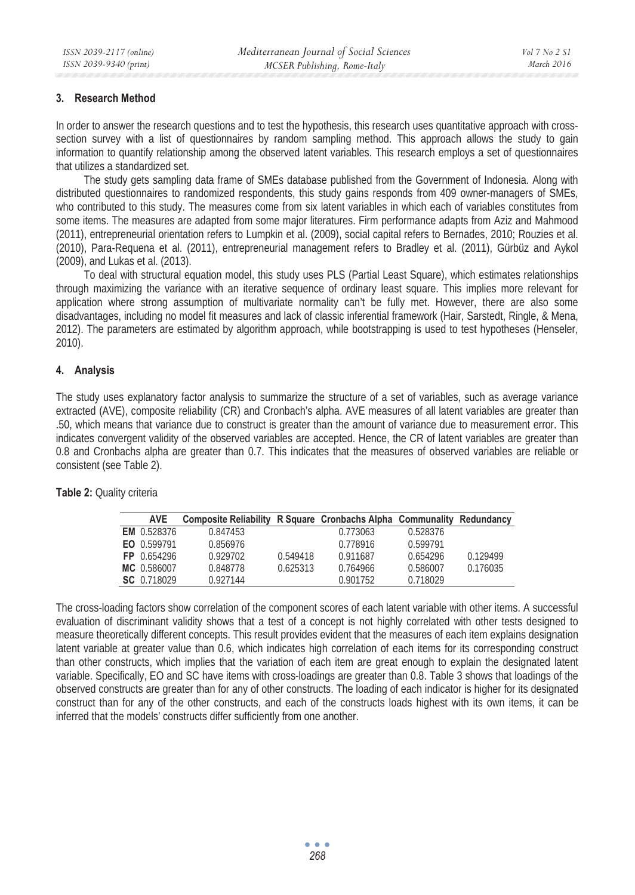## **3. Research Method**

In order to answer the research questions and to test the hypothesis, this research uses quantitative approach with crosssection survey with a list of questionnaires by random sampling method. This approach allows the study to gain information to quantify relationship among the observed latent variables. This research employs a set of questionnaires that utilizes a standardized set.

The study gets sampling data frame of SMEs database published from the Government of Indonesia. Along with distributed questionnaires to randomized respondents, this study gains responds from 409 owner-managers of SMEs, who contributed to this study. The measures come from six latent variables in which each of variables constitutes from some items. The measures are adapted from some major literatures. Firm performance adapts from Aziz and Mahmood (2011), entrepreneurial orientation refers to Lumpkin et al. (2009), social capital refers to Bernades, 2010; Rouzies et al. (2010), Para-Requena et al. (2011), entrepreneurial management refers to Bradley et al. (2011), Gürbüz and Aykol (2009), and Lukas et al. (2013).

To deal with structural equation model, this study uses PLS (Partial Least Square), which estimates relationships through maximizing the variance with an iterative sequence of ordinary least square. This implies more relevant for application where strong assumption of multivariate normality can't be fully met. However, there are also some disadvantages, including no model fit measures and lack of classic inferential framework (Hair, Sarstedt, Ringle, & Mena, 2012). The parameters are estimated by algorithm approach, while bootstrapping is used to test hypotheses (Henseler, 2010).

### **4. Analysis**

The study uses explanatory factor analysis to summarize the structure of a set of variables, such as average variance extracted (AVE), composite reliability (CR) and Cronbach's alpha. AVE measures of all latent variables are greater than .50, which means that variance due to construct is greater than the amount of variance due to measurement error. This indicates convergent validity of the observed variables are accepted. Hence, the CR of latent variables are greater than 0.8 and Cronbachs alpha are greater than 0.7. This indicates that the measures of observed variables are reliable or consistent (see Table 2).

| <b>AVE</b>         | Composite Reliability R Square Cronbachs Alpha Communality Redundancy |          |          |          |          |
|--------------------|-----------------------------------------------------------------------|----------|----------|----------|----------|
| <b>EM</b> 0.528376 | 0.847453                                                              |          | 0.773063 | 0.528376 |          |
| EO 0.599791        | 0.856976                                                              |          | 0.778916 | 0.599791 |          |
| FP 0.654296        | 0.929702                                                              | 0.549418 | 0.911687 | 0.654296 | 0.129499 |
| MC 0.586007        | 0.848778                                                              | 0.625313 | 0.764966 | 0.586007 | 0.176035 |
| SC 0.718029        | 0.927144                                                              |          | 0.901752 | 0.718029 |          |

**Table 2:** Quality criteria

The cross-loading factors show correlation of the component scores of each latent variable with other items. A successful evaluation of discriminant validity shows that a test of a concept is not highly correlated with other tests designed to measure theoretically different concepts. This result provides evident that the measures of each item explains designation latent variable at greater value than 0.6, which indicates high correlation of each items for its corresponding construct than other constructs, which implies that the variation of each item are great enough to explain the designated latent variable. Specifically, EO and SC have items with cross-loadings are greater than 0.8. Table 3 shows that loadings of the observed constructs are greater than for any of other constructs. The loading of each indicator is higher for its designated construct than for any of the other constructs, and each of the constructs loads highest with its own items, it can be inferred that the models' constructs differ sufficiently from one another.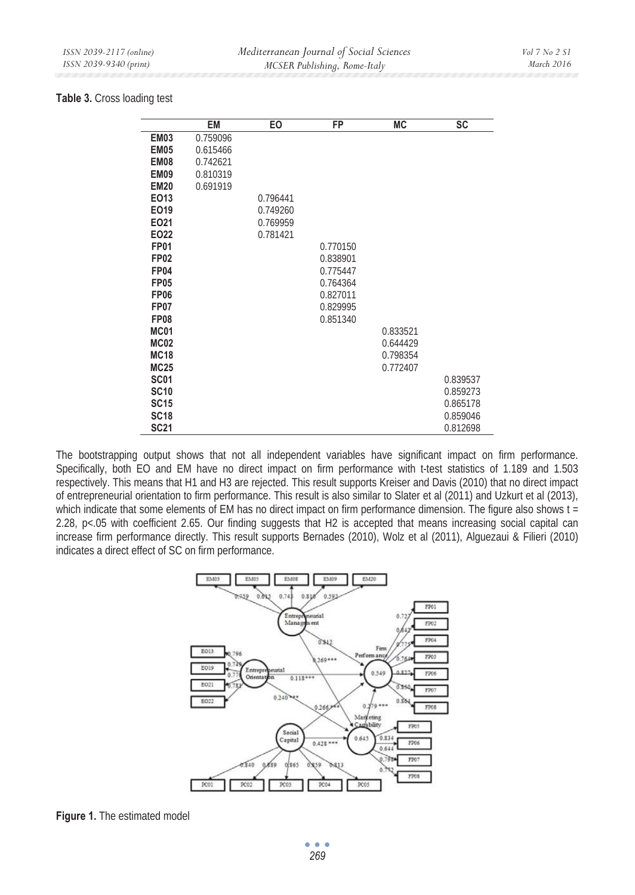## **Table 3.** Cross loading test

|             | EM       | EO       | <b>FP</b> | <b>MC</b> | <b>SC</b> |
|-------------|----------|----------|-----------|-----------|-----------|
| <b>EM03</b> | 0.759096 |          |           |           |           |
| <b>EM05</b> | 0.615466 |          |           |           |           |
| EM08        | 0.742621 |          |           |           |           |
| <b>EM09</b> | 0.810319 |          |           |           |           |
| <b>EM20</b> | 0.691919 |          |           |           |           |
| EO13        |          | 0.796441 |           |           |           |
| EO19        |          | 0.749260 |           |           |           |
| EO21        |          | 0.769959 |           |           |           |
| EO22        |          | 0.781421 |           |           |           |
| <b>FP01</b> |          |          | 0.770150  |           |           |
| <b>FP02</b> |          |          | 0.838901  |           |           |
| <b>FP04</b> |          |          | 0.775447  |           |           |
| <b>FP05</b> |          |          | 0.764364  |           |           |
| <b>FP06</b> |          |          | 0.827011  |           |           |
| <b>FP07</b> |          |          | 0.829995  |           |           |
| <b>FP08</b> |          |          | 0.851340  |           |           |
| <b>MC01</b> |          |          |           | 0.833521  |           |
| <b>MC02</b> |          |          |           | 0.644429  |           |
| <b>MC18</b> |          |          |           | 0.798354  |           |
| <b>MC25</b> |          |          |           | 0.772407  |           |
| <b>SC01</b> |          |          |           |           | 0.839537  |
| <b>SC10</b> |          |          |           |           | 0.859273  |
| <b>SC15</b> |          |          |           |           | 0.865178  |
| <b>SC18</b> |          |          |           |           | 0.859046  |
| <b>SC21</b> |          |          |           |           | 0.812698  |

The bootstrapping output shows that not all independent variables have significant impact on firm performance. Specifically, both EO and EM have no direct impact on firm performance with t-test statistics of 1.189 and 1.503 respectively. This means that H1 and H3 are rejected. This result supports Kreiser and Davis (2010) that no direct impact of entrepreneurial orientation to firm performance. This result is also similar to Slater et al (2011) and Uzkurt et al (2013), which indicate that some elements of EM has no direct impact on firm performance dimension. The figure also shows t = 2.28, p<.05 with coefficient 2.65. Our finding suggests that H2 is accepted that means increasing social capital can increase firm performance directly. This result supports Bernades (2010), Wolz et al (2011), Alguezaui & Filieri (2010) indicates a direct effect of SC on firm performance.



**Figure 1.** The estimated model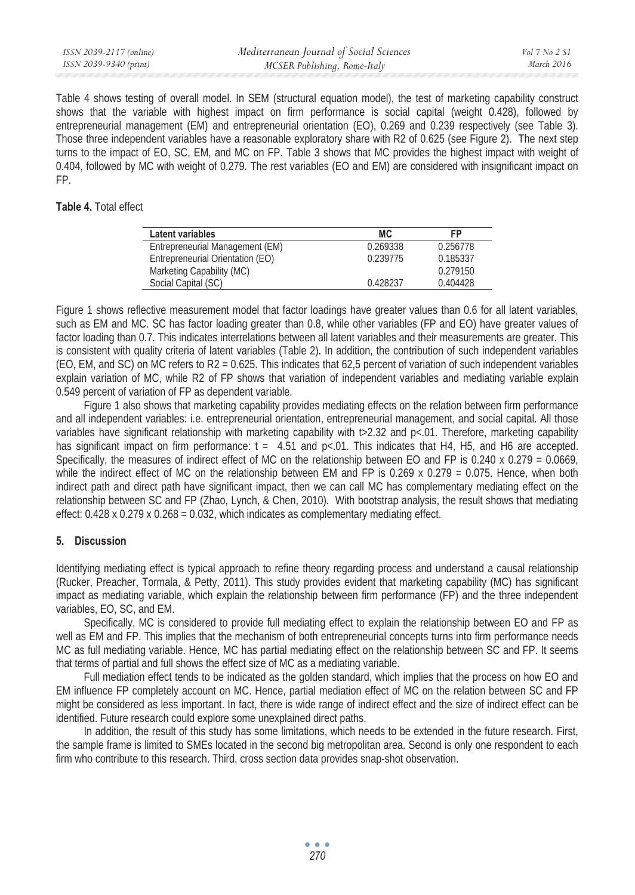| ISSN 2039-2117 (online) | Mediterranean Journal of Social Sciences | $Vol 7$ No 2 S1 |
|-------------------------|------------------------------------------|-----------------|
| ISSN 2039-9340 (print)  | MCSER Publishing, Rome-Italy             | March 2016      |

Table 4 shows testing of overall model. In SEM (structural equation model), the test of marketing capability construct shows that the variable with highest impact on firm performance is social capital (weight 0.428), followed by entrepreneurial management (EM) and entrepreneurial orientation (EO), 0.269 and 0.239 respectively (see Table 3). Those three independent variables have a reasonable exploratory share with R2 of 0.625 (see Figure 2). The next step turns to the impact of EO, SC, EM, and MC on FP. Table 3 shows that MC provides the highest impact with weight of 0.404, followed by MC with weight of 0.279. The rest variables (EO and EM) are considered with insignificant impact on FP.

## **Table 4.** Total effect

| Latent variables                 | МC       | FP       |
|----------------------------------|----------|----------|
| Entrepreneurial Management (EM)  | 0.269338 | 0.256778 |
| Entrepreneurial Orientation (EO) | 0.239775 | 0.185337 |
| Marketing Capability (MC)        |          | 0.279150 |
| Social Capital (SC)              | 0.428237 | 0.404428 |

Figure 1 shows reflective measurement model that factor loadings have greater values than 0.6 for all latent variables. such as EM and MC. SC has factor loading greater than 0.8, while other variables (FP and EO) have greater values of factor loading than 0.7. This indicates interrelations between all latent variables and their measurements are greater. This is consistent with quality criteria of latent variables (Table 2). In addition, the contribution of such independent variables (EO, EM, and SC) on MC refers to R2 = 0.625. This indicates that 62,5 percent of variation of such independent variables explain variation of MC, while R2 of FP shows that variation of independent variables and mediating variable explain 0.549 percent of variation of FP as dependent variable.

Figure 1 also shows that marketing capability provides mediating effects on the relation between firm performance and all independent variables: i.e. entrepreneurial orientation, entrepreneurial management, and social capital. All those variables have significant relationship with marketing capability with t>2.32 and p<.01. Therefore, marketing capability has significant impact on firm performance:  $t = 4.51$  and  $p<0.01$ . This indicates that H4, H5, and H6 are accepted. Specifically, the measures of indirect effect of MC on the relationship between EO and FP is 0.240 x 0.279 = 0.0669, while the indirect effect of MC on the relationship between EM and FP is  $0.269 \times 0.279 = 0.075$ . Hence, when both indirect path and direct path have significant impact, then we can call MC has complementary mediating effect on the relationship between SC and FP (Zhao, Lynch, & Chen, 2010). With bootstrap analysis, the result shows that mediating effect: 0.428 x 0.279 x 0.268 = 0.032, which indicates as complementary mediating effect.

## **5. Discussion**

Identifying mediating effect is typical approach to refine theory regarding process and understand a causal relationship (Rucker, Preacher, Tormala, & Petty, 2011). This study provides evident that marketing capability (MC) has significant impact as mediating variable, which explain the relationship between firm performance (FP) and the three independent variables, EO, SC, and EM.

Specifically, MC is considered to provide full mediating effect to explain the relationship between EO and FP as well as EM and FP. This implies that the mechanism of both entrepreneurial concepts turns into firm performance needs MC as full mediating variable. Hence, MC has partial mediating effect on the relationship between SC and FP. It seems that terms of partial and full shows the effect size of MC as a mediating variable.

Full mediation effect tends to be indicated as the golden standard, which implies that the process on how EO and EM influence FP completely account on MC. Hence, partial mediation effect of MC on the relation between SC and FP might be considered as less important. In fact, there is wide range of indirect effect and the size of indirect effect can be identified. Future research could explore some unexplained direct paths.

In addition, the result of this study has some limitations, which needs to be extended in the future research. First, the sample frame is limited to SMEs located in the second big metropolitan area. Second is only one respondent to each firm who contribute to this research. Third, cross section data provides snap-shot observation.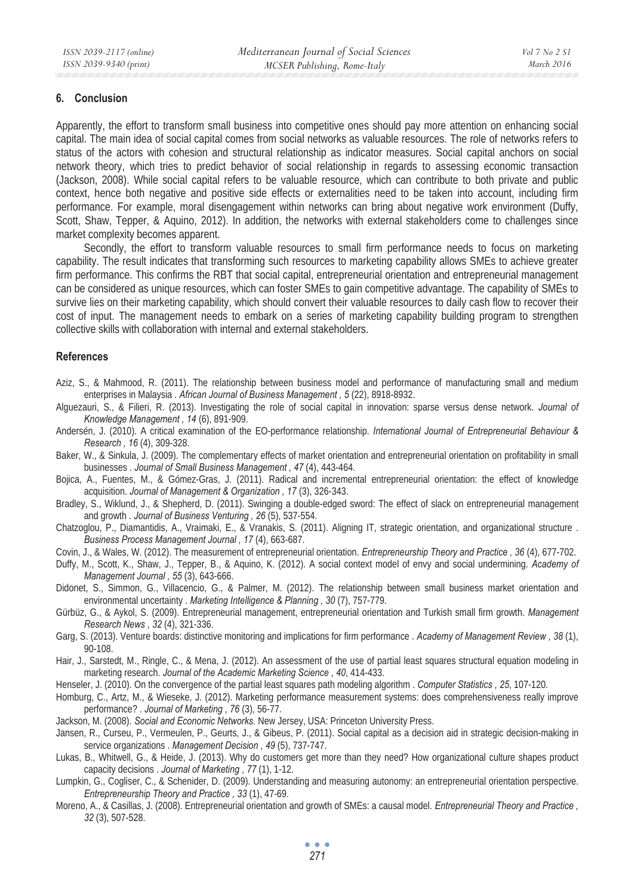## **6. Conclusion**

Apparently, the effort to transform small business into competitive ones should pay more attention on enhancing social capital. The main idea of social capital comes from social networks as valuable resources. The role of networks refers to status of the actors with cohesion and structural relationship as indicator measures. Social capital anchors on social network theory, which tries to predict behavior of social relationship in regards to assessing economic transaction (Jackson, 2008). While social capital refers to be valuable resource, which can contribute to both private and public context, hence both negative and positive side effects or externalities need to be taken into account, including firm performance. For example, moral disengagement within networks can bring about negative work environment (Duffy, Scott, Shaw, Tepper, & Aquino, 2012). In addition, the networks with external stakeholders come to challenges since market complexity becomes apparent.

Secondly, the effort to transform valuable resources to small firm performance needs to focus on marketing capability. The result indicates that transforming such resources to marketing capability allows SMEs to achieve greater firm performance. This confirms the RBT that social capital, entrepreneurial orientation and entrepreneurial management can be considered as unique resources, which can foster SMEs to gain competitive advantage. The capability of SMEs to survive lies on their marketing capability, which should convert their valuable resources to daily cash flow to recover their cost of input. The management needs to embark on a series of marketing capability building program to strengthen collective skills with collaboration with internal and external stakeholders.

## **References**

- Aziz, S., & Mahmood, R. (2011). The relationship between business model and performance of manufacturing small and medium enterprises in Malaysia . *African Journal of Business Management , 5* (22), 8918-8932.
- Alguezauri, S., & Filieri, R. (2013). Investigating the role of social capital in innovation: sparse versus dense network. *Journal of Knowledge Management , 14* (6), 891-909.
- Andersén, J. (2010). A critical examination of the EO-performance relationship. *International Journal of Entrepreneurial Behaviour & Research , 16* (4), 309-328.
- Baker, W., & Sinkula, J. (2009). The complementary effects of market orientation and entrepreneurial orientation on profitability in small businesses . *Journal of Small Business Management , 47* (4), 443-464.
- Bojica, A., Fuentes, M., & Gómez-Gras, J. (2011). Radical and incremental entrepreneurial orientation: the effect of knowledge acquisition. *Journal of Management & Organization , 17* (3), 326-343.
- Bradley, S., Wiklund, J., & Shepherd, D. (2011). Swinging a double-edged sword: The effect of slack on entrepreneurial management and growth . *Journal of Business Venturing , 26* (5), 537-554.
- Chatzoglou, P., Diamantidis, A., Vraimaki, E., & Vranakis, S. (2011). Aligning IT, strategic orientation, and organizational structure . *Business Process Management Journal , 17* (4), 663-687.
- Covin, J., & Wales, W. (2012). The measurement of entrepreneurial orientation. *Entrepreneurship Theory and Practice , 36* (4), 677-702.
- Duffy, M., Scott, K., Shaw, J., Tepper, B., & Aquino, K. (2012). A social context model of envy and social undermining. *Academy of Management Journal , 55* (3), 643-666.
- Didonet, S., Simmon, G., Villacencio, G., & Palmer, M. (2012). The relationship between small business market orientation and environmental uncertainty . *Marketing Intelligence & Planning , 30* (7), 757-779.
- Gürbüz, G., & Aykol, S. (2009). Entrepreneurial management, entrepreneurial orientation and Turkish small firm growth. *Management Research News , 32* (4), 321-336.
- Garg, S. (2013). Venture boards: distinctive monitoring and implications for firm performance . *Academy of Management Review , 38* (1), 90-108.
- Hair, J., Sarstedt, M., Ringle, C., & Mena, J. (2012). An assessment of the use of partial least squares structural equation modeling in marketing research. *Journal of the Academic Marketing Science , 40*, 414-433.
- Henseler, J. (2010). On the convergence of the partial least squares path modeling algorithm . *Computer Statistics , 25*, 107-120.
- Homburg, C., Artz, M., & Wieseke, J. (2012). Marketing performance measurement systems: does comprehensiveness really improve performance? . *Journal of Marketing , 76* (3), 56-77.
- Jackson, M. (2008). *Social and Economic Networks.* New Jersey, USA: Princeton University Press.
- Jansen, R., Curseu, P., Vermeulen, P., Geurts, J., & Gibeus, P. (2011). Social capital as a decision aid in strategic decision-making in service organizations . *Management Decision , 49* (5), 737-747.
- Lukas, B., Whitwell, G., & Heide, J. (2013). Why do customers get more than they need? How organizational culture shapes product capacity decisions . *Journal of Marketing , 77* (1), 1-12.
- Lumpkin, G., Cogliser, C., & Schenider, D. (2009). Understanding and measuring autonomy: an entrepreneurial orientation perspective. *Entrepreneurship Theory and Practice , 33* (1), 47-69.
- Moreno, A., & Casillas, J. (2008). Entrepreneurial orientation and growth of SMEs: a causal model. *Entrepreneurial Theory and Practice , 32* (3), 507-528.